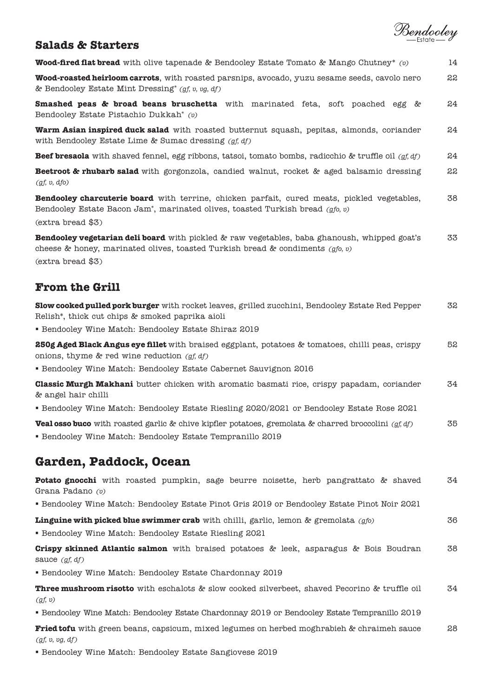

# **Salads & Starters**

**Wood-fired flat bread** with olive tapenade & Bendooley Estate Tomato & Mango Chutney\* *(v)* 14

**Wood-roasted heirloom carrots**, with roasted parsnips, avocado, yuzu sesame seeds, cavolo nero & Bendooley Estate Mint Dressing\* *(gf, v, vg, df)* 22

**Smashed peas & broad beans bruschetta** with marinated feta, soft poached egg & Bendooley Estate Pistachio Dukkah\* *(v)*  24

**Warm Asian inspired duck salad** with roasted butternut squash, pepitas, almonds, coriander with Bendooley Estate Lime & Sumac dressing *(gf, df)* 24

**Beef bresaola** with shaved fennel, egg ribbons, tatsoi, tomato bombs, radicchio & truffle oil *(gf, df)* 24

**Beetroot & rhubarb salad** with gorgonzola, candied walnut, rocket & aged balsamic dressing *(gf, v, dfo)*  22

**Bendooley charcuterie board** with terrine, chicken parfait, cured meats, pickled vegetables, Bendooley Estate Bacon Jam\*, marinated olives, toasted Turkish bread *(gfo, v)* (extra bread \$3) 38

**Bendooley vegetarian deli board** with pickled & raw vegetables, baba ghanoush, whipped goat's cheese & honey, marinated olives, toasted Turkish bread & condiments *(gfo, v)* (extra bread \$3) 33

# **From the Grill**

| <b>Slow cooked pulled pork burger</b> with rocket leaves, grilled zucchini, Bendooley Estate Red Pepper<br>Relish*, thick cut chips & smoked paprika aioli                                                                                                                                                                                                 | 32 |
|------------------------------------------------------------------------------------------------------------------------------------------------------------------------------------------------------------------------------------------------------------------------------------------------------------------------------------------------------------|----|
| • Bendooley Wine Match: Bendooley Estate Shiraz 2019                                                                                                                                                                                                                                                                                                       |    |
| <b>250g Aged Black Angus eye fillet</b> with braised eggplant, potatoes & tomatoes, chilli peas, crispy<br>onions, thyme & red wine reduction $(gf, df)$<br>• Bendooley Wine Match: Bendooley Estate Cabernet Sauvignon 2016                                                                                                                               | 52 |
| <b>Classic Murgh Makhani</b> butter chicken with aromatic basmati rice, crispy papadam, coriander<br>& angel hair chilli                                                                                                                                                                                                                                   | 34 |
| • Bendooley Wine Match: Bendooley Estate Riesling 2020/2021 or Bendooley Estate Rose 2021                                                                                                                                                                                                                                                                  |    |
| <b>Veal osso buco</b> with roasted garlic & chive kipfler potatoes, gremolata & charred broccolini ( <i>qf, df</i> )<br>$\mathcal{A}$ , and the state of the state of the state of the state of the state of the state of the state of the state of the state of the state of the state of the state of the state of the state of the state of the state o | 35 |

Bendooley Wine Match: Bendooley Estate Tempranillo 2019

# **Garden, Paddock, Ocean**

|                  |  |  |  | Potato gnocchi with roasted pumpkin, sage beurre noisette, herb pangrattato & shaved |  | 34 |
|------------------|--|--|--|--------------------------------------------------------------------------------------|--|----|
| Grana Padano (v) |  |  |  |                                                                                      |  |    |

Bendooley Wine Match: Bendooley Estate Pinot Gris 2019 or Bendooley Estate Pinot Noir 2021

**Linguine with picked blue swimmer crab** with chilli, garlic, lemon & gremolata *(gfo)* 36

Bendooley Wine Match: Bendooley Estate Riesling 2021

**Crispy skinned Atlantic salmon** with braised potatoes & leek, asparagus & Bois Boudran sauce *(gf, df)* 38

Bendooley Wine Match: Bendooley Estate Chardonnay 2019

**Three mushroom risotto** with eschalots & slow cooked silverbeet, shaved Pecorino & truffle oil *(gf, v)*  34

Bendooley Wine Match: Bendooley Estate Chardonnay 2019 or Bendooley Estate Tempranillo 2019

**Fried tofu** with green beans, capsicum, mixed legumes on herbed moghrabieh & chraimeh sauce *(gf, v, vg, df)* 28

Bendooley Wine Match: Bendooley Estate Sangiovese 2019